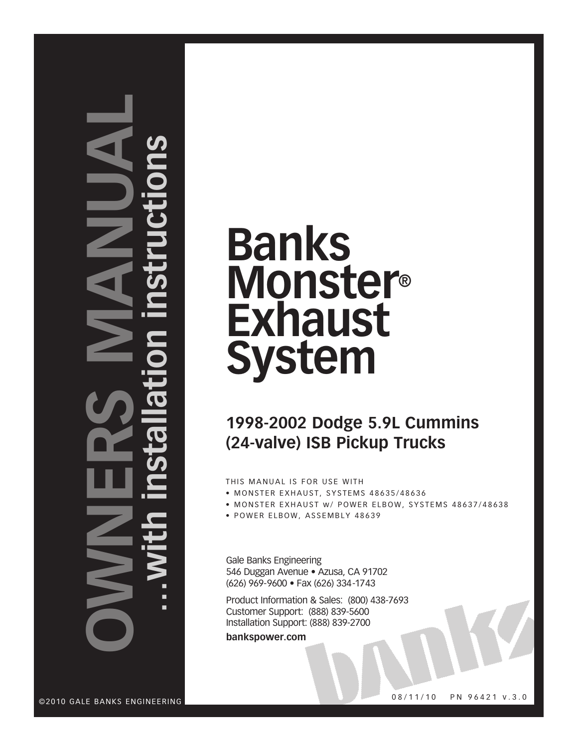# **NO nersman ual…with installation instructions**

## **Banks Monster® Exhaust System**

## **1998-2002 Dodge 5.9L Cummins (24-valve) ISB Pickup Trucks**

THIS MANUAL IS FOR USE WITH

- MONSTER EXHAUST, SYSTEMS 48635/48636
- MONSTER EXHAUST W/ POWER ELBOW, SYSTEMS 48637/48638
- POWER ELBOW, ASSEMBLY 48639

Gale Banks Engineering 546 Duggan Avenue · Azusa, CA 91702 (626) 969-9600 • Fax (626) 334-1743

Product Information & Sales: (800) 438-7693 Customer Support: (888) 839-5600 Installation Support: (888) 839-2700

**bankspower.com**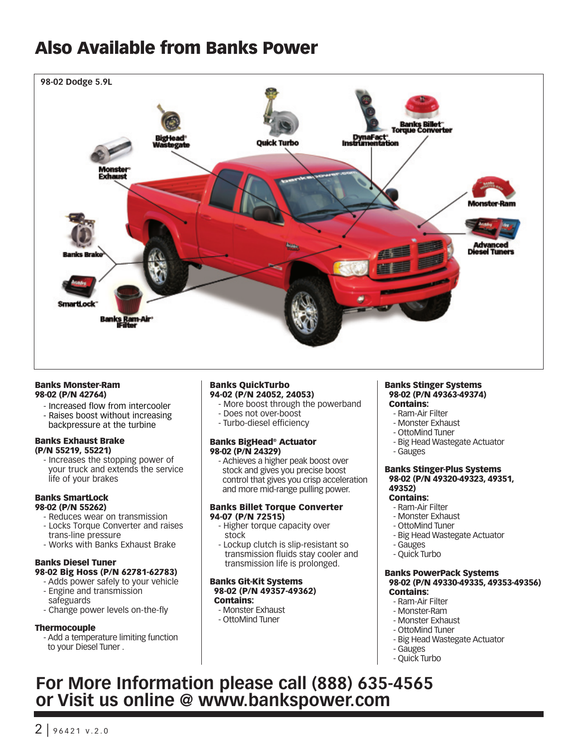## Also Available from Banks Power



#### Banks Monster-Ram 98-02 (P/N 42764)

- Increased flow from intercooler
- Raises boost without increasing backpressure at the turbine

#### Banks Exhaust Brake (P/N 55219, 55221)

- Increases the stopping power of your truck and extends the service life of your brakes

#### Banks SmartLock 98-02 (P/N 55262)

- Reduces wear on transmission
- Locks Torque Converter and raises trans-line pressure
- Works with Banks Exhaust Brake

#### Banks Diesel Tuner 98-02 Big Hoss (P/N 62781-62783)

- Adds power safely to your vehicle
- Engine and transmission safeguards
- Change power levels on-the-fly

#### Thermocouple

- Add a temperature limiting function to your Diesel Tuner .

#### Banks QuickTurbo 94-02 (P/N 24052, 24053)

- More boost through the powerband
- Does not over-boost
- Turbo-diesel efficiency

#### Banks BigHead® Actuator 98-02 (P/N 24329)

- Achieves a higher peak boost over stock and gives you precise boost control that gives you crisp acceleration and more mid-range pulling power.

#### Banks Billet Torque Converter 94-07 (P/N 72515)

- Higher torque capacity over stock
- Lockup clutch is slip-resistant so transmission fluids stay cooler and transmission life is prolonged.

#### Banks Git-Kit Systems 98-02 (P/N 49357-49362) Contains:

- Monster Exhaust
- OttoMind Tuner

#### Banks Stinger Systems 98-02 (P/N 49363-49374) Contains:

- Ram-Air Filter
- Monster Exhaust
- OttoMind Tuner
- Big Head Wastegate Actuator
- Gauges

#### Banks Stinger-Plus Systems 98-02 (P/N 49320-49323, 49351, 49352)

#### Contains:

- Ram-Air Filter
- Monster Exhaust
- OttoMind Tuner
- Big Head Wastegate Actuator
- Gauges
- Quick Turbo

#### Banks PowerPack Systems 98-02 (P/N 49330-49335, 49353-49356) Contains:

- Ram-Air Filter
- Monster-Ram
- Monster Exhaust
- OttoMind Tuner
- Big Head Wastegate Actuator
- Gauges
- Quick Turbo

### **For More Information please call (888) 635-4565 or Visit us online @ www.bankspower.com**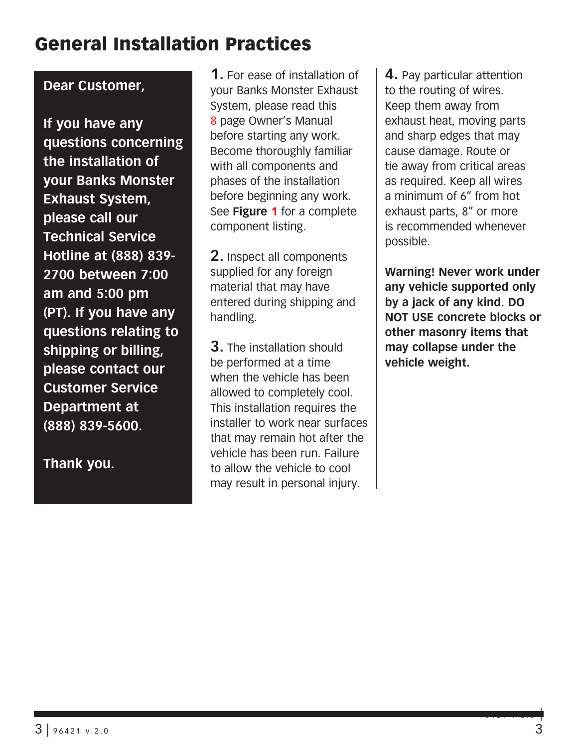## General Installation Practices

#### **Dear Customer,**

**If you have any questions concerning the installation of your Banks Monster Exhaust System, please call our Technical Service Hotline at (888) 839- 2700 between 7:00 am and 5:00 pm (PT). If you have any questions relating to shipping or billing, please contact our Customer Service Department at (888) 839-5600.**

**Thank you.**

**1.** For ease of installation of your Banks Monster Exhaust System, please read this 8 page Owner's Manual before starting any work. Become thoroughly familiar with all components and phases of the installation before beginning any work. See **Figure 1** for a complete component listing.

**2.** Inspect all components supplied for any foreign material that may have entered during shipping and handling.

**3.** The installation should be performed at a time when the vehicle has been allowed to completely cool. This installation requires the installer to work near surfaces that may remain hot after the vehicle has been run. Failure to allow the vehicle to cool may result in personal injury.

**4.** Pay particular attention to the routing of wires. Keep them away from exhaust heat, moving parts and sharp edges that may cause damage. Route or tie away from critical areas as required. Keep all wires a minimum of 6" from hot exhaust parts, 8" or more is recommended whenever possible.

**Warning! Never work under any vehicle supported only by a jack of any kind. DO NOT USE concrete blocks or other masonry items that may collapse under the vehicle weight.**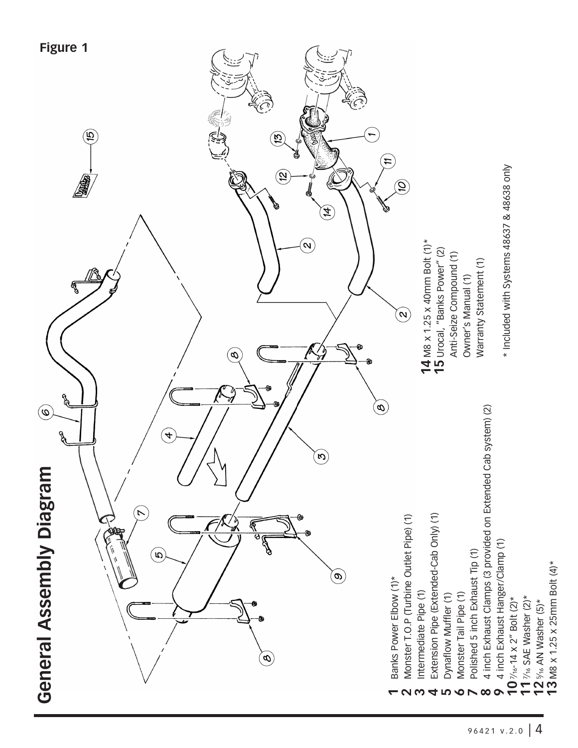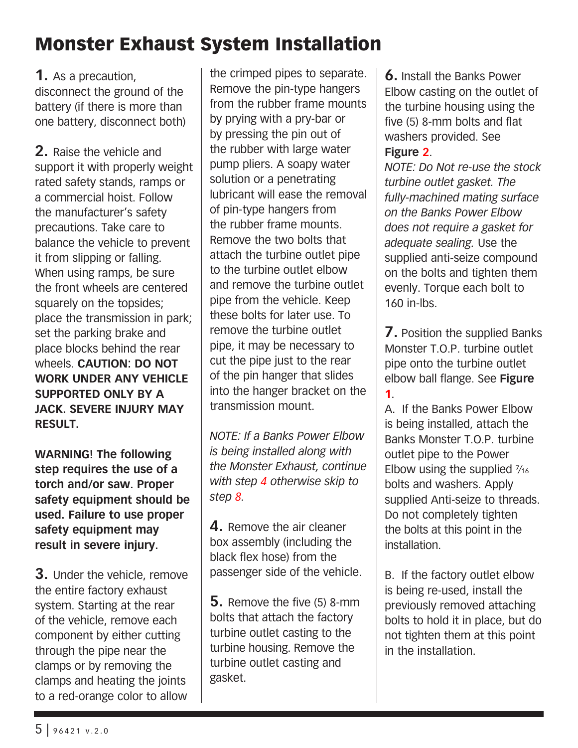## Monster Exhaust System Installation

**1.** As a precaution, disconnect the ground of the battery (if there is more than one battery, disconnect both)

**2.** Raise the vehicle and support it with properly weight rated safety stands, ramps or a commercial hoist. Follow the manufacturer's safety precautions. Take care to balance the vehicle to prevent it from slipping or falling. When using ramps, be sure the front wheels are centered squarely on the topsides; place the transmission in park; set the parking brake and place blocks behind the rear wheels. **CAUTION: DO NOT WORK UNDER ANY VEHICLE SUPPORTED ONLY BY A JACK. SEVERE INJURY MAY RESULT.**

**WARNING! The following step requires the use of a torch and/or saw. Proper safety equipment should be used. Failure to use proper safety equipment may result in severe injury.**

**3.** Under the vehicle, remove the entire factory exhaust system. Starting at the rear of the vehicle, remove each component by either cutting through the pipe near the clamps or by removing the clamps and heating the joints to a red-orange color to allow

the crimped pipes to separate. Remove the pin-type hangers from the rubber frame mounts by prying with a pry-bar or by pressing the pin out of the rubber with large water pump pliers. A soapy water solution or a penetrating lubricant will ease the removal of pin-type hangers from the rubber frame mounts. Remove the two bolts that attach the turbine outlet pipe to the turbine outlet elbow and remove the turbine outlet pipe from the vehicle. Keep these bolts for later use. To remove the turbine outlet pipe, it may be necessary to cut the pipe just to the rear of the pin hanger that slides into the hanger bracket on the transmission mount.

*NOTE: If a Banks Power Elbow is being installed along with the Monster Exhaust, continue with step 4 otherwise skip to step 8.*

**4.** Remove the air cleaner box assembly (including the black flex hose) from the passenger side of the vehicle.

**5.** Remove the five (5) 8-mm bolts that attach the factory turbine outlet casting to the turbine housing. Remove the turbine outlet casting and gasket.

**6.** Install the Banks Power Elbow casting on the outlet of the turbine housing using the five (5) 8-mm bolts and flat washers provided. See **Figure 2**.

*NOTE: Do Not re-use the stock turbine outlet gasket. The fully-machined mating surface on the Banks Power Elbow does not require a gasket for adequate sealing.* Use the supplied anti-seize compound on the bolts and tighten them evenly. Torque each bolt to 160 in-lbs.

**7.** Position the supplied Banks Monster T.O.P. turbine outlet pipe onto the turbine outlet elbow ball flange. See **Figure 1**.

A. If the Banks Power Elbow is being installed, attach the Banks Monster T.O.P. turbine outlet pipe to the Power Elbow using the supplied  $\frac{7}{16}$ bolts and washers. Apply supplied Anti-seize to threads. Do not completely tighten the bolts at this point in the installation.

B. If the factory outlet elbow is being re-used, install the previously removed attaching bolts to hold it in place, but do not tighten them at this point in the installation.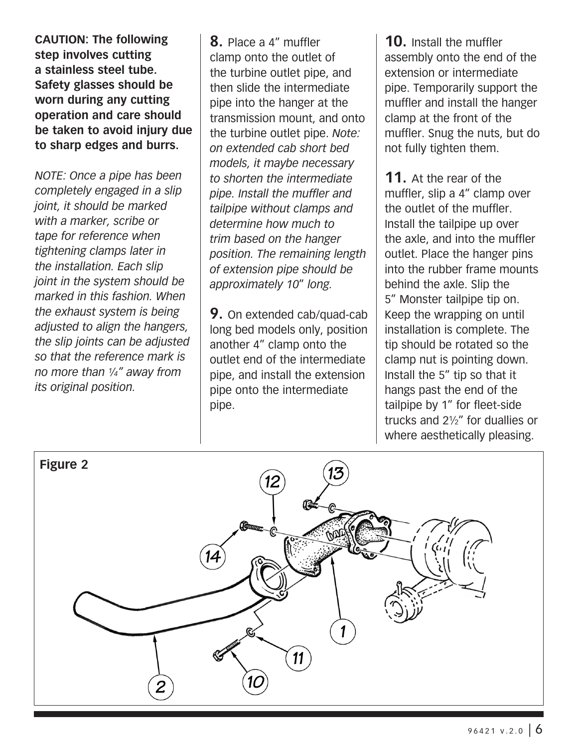**CAUTION: The following step involves cutting a stainless steel tube. Safety glasses should be worn during any cutting operation and care should be taken to avoid injury due to sharp edges and burrs.**

*NOTE: Once a pipe has been completely engaged in a slip joint, it should be marked with a marker, scribe or tape for reference when tightening clamps later in the installation. Each slip joint in the system should be marked in this fashion. When the exhaust system is being adjusted to align the hangers, the slip joints can be adjusted so that the reference mark is no more than 1⁄4" away from its original position.*

**8.** Place a 4" muffler clamp onto the outlet of the turbine outlet pipe, and then slide the intermediate pipe into the hanger at the transmission mount, and onto the turbine outlet pipe. *Note: on extended cab short bed models, it maybe necessary to shorten the intermediate pipe. Install the muffler and tailpipe without clamps and determine how much to trim based on the hanger position. The remaining length of extension pipe should be approximately 10*" *long.*

**9.** On extended cab/quad-cab long bed models only, position another 4" clamp onto the outlet end of the intermediate pipe, and install the extension pipe onto the intermediate pipe.

**10.** Install the muffler assembly onto the end of the extension or intermediate pipe. Temporarily support the muffler and install the hanger clamp at the front of the muffler. Snug the nuts, but do not fully tighten them.

**11.** At the rear of the muffler, slip a 4" clamp over the outlet of the muffler. Install the tailpipe up over the axle, and into the muffler outlet. Place the hanger pins into the rubber frame mounts behind the axle. Slip the 5" Monster tailpipe tip on. Keep the wrapping on until installation is complete. The tip should be rotated so the clamp nut is pointing down. Install the 5" tip so that it hangs past the end of the tailpipe by 1" for fleet-side trucks and 21⁄2" for duallies or where aesthetically pleasing.

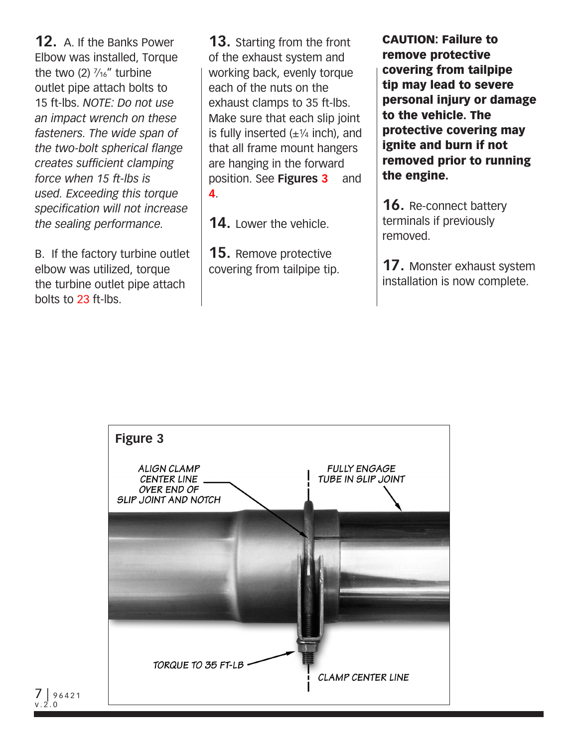**12.** A. If the Banks Power Elbow was installed, Torque the two  $(2)$   $\frac{7}{16}$ " turbine outlet pipe attach bolts to 15 ft-lbs. *NOTE: Do not use an impact wrench on these fasteners. The wide span of the two-bolt spherical flange creates sufficient clamping force when 15 ft-lbs is used. Exceeding this torque specification will not increase the sealing performance.* 

B. If the factory turbine outlet elbow was utilized, torque the turbine outlet pipe attach bolts to 23 ft-lbs.

**13.** Starting from the front of the exhaust system and working back, evenly torque each of the nuts on the exhaust clamps to 35 ft-lbs. Make sure that each slip joint is fully inserted  $(\pm \frac{1}{4}$  inch), and that all frame mount hangers are hanging in the forward position. See **Figures 3** and **4**.

**14.** Lower the vehicle.

**15.** Remove protective covering from tailpipe tip.

CAUTION: Failure to remove protective covering from tailpipe tip may lead to severe personal injury or damage to the vehicle. The protective covering may ignite and burn if not removed prior to running the engine.

**16.** Re-connect battery terminals if previously removed.

**17.** Monster exhaust system installation is now complete.



 $96421$ v.2.0